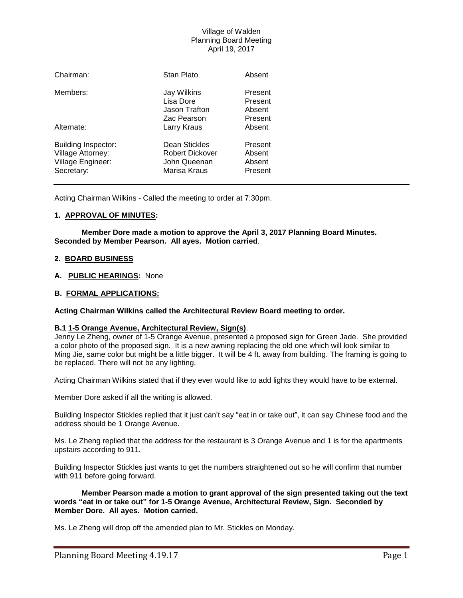# Village of Walden Planning Board Meeting April 19, 2017

| Chairman:                                                                          | Stan Plato                                                       | Absent                                  |
|------------------------------------------------------------------------------------|------------------------------------------------------------------|-----------------------------------------|
| Members:                                                                           | Jay Wilkins<br>Lisa Dore<br>Jason Trafton<br>Zac Pearson         | Present<br>Present<br>Absent<br>Present |
| Alternate:                                                                         | Larry Kraus                                                      | Absent                                  |
| <b>Building Inspector:</b><br>Village Attorney:<br>Village Engineer:<br>Secretary: | Dean Stickles<br>Robert Dickover<br>John Queenan<br>Marisa Kraus | Present<br>Absent<br>Absent<br>Present  |

Acting Chairman Wilkins - Called the meeting to order at 7:30pm.

## **1. APPROVAL OF MINUTES:**

**Member Dore made a motion to approve the April 3, 2017 Planning Board Minutes. Seconded by Member Pearson. All ayes. Motion carried**.

#### **2. BOARD BUSINESS**

## **A. PUBLIC HEARINGS:** None

## **B. FORMAL APPLICATIONS:**

#### **Acting Chairman Wilkins called the Architectural Review Board meeting to order.**

## **B.1 1-5 Orange Avenue, Architectural Review, Sign(s)**.

Jenny Le Zheng, owner of 1-5 Orange Avenue, presented a proposed sign for Green Jade. She provided a color photo of the proposed sign. It is a new awning replacing the old one which will look similar to Ming Jie, same color but might be a little bigger. It will be 4 ft. away from building. The framing is going to be replaced. There will not be any lighting.

Acting Chairman Wilkins stated that if they ever would like to add lights they would have to be external.

Member Dore asked if all the writing is allowed.

Building Inspector Stickles replied that it just can't say "eat in or take out", it can say Chinese food and the address should be 1 Orange Avenue.

Ms. Le Zheng replied that the address for the restaurant is 3 Orange Avenue and 1 is for the apartments upstairs according to 911.

Building Inspector Stickles just wants to get the numbers straightened out so he will confirm that number with 911 before going forward.

**Member Pearson made a motion to grant approval of the sign presented taking out the text words "eat in or take out" for 1-5 Orange Avenue, Architectural Review, Sign. Seconded by Member Dore. All ayes. Motion carried.**

Ms. Le Zheng will drop off the amended plan to Mr. Stickles on Monday.